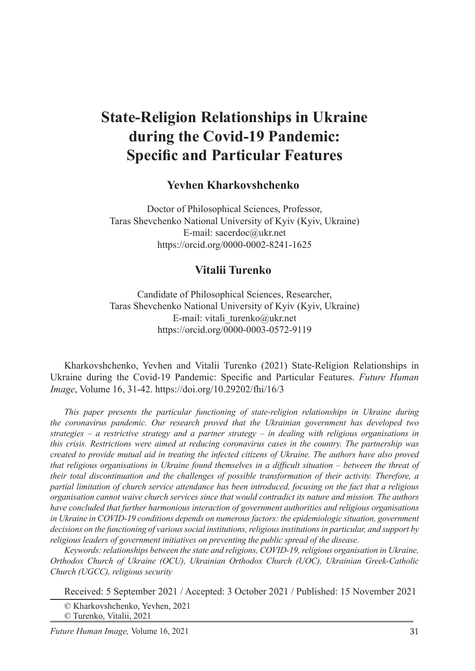# **State-Religion Relationships in Ukraine during the Covid-19 Pandemic: Specific and Particular Features**

### **Yevhen Kharkovshchenko**<sup>1</sup>

Doctor of Philosophical Sciences, Professor, Taras Shevchenko National University of Kyiv (Kyiv, Ukraine) E-mail: sacerdoc@ukr.net https://orcid.org/0000-0002-8241-1625

### **Vitalii Turenko**<sup>2</sup>

Candidate of Philosophical Sciences, Researcher, Taras Shevchenko National University of Kyiv (Kyiv, Ukraine) E-mail: vitali\_turenko@ukr.net https://orcid.org/0000-0003-0572-9119

Kharkovshchenko, Yevhen and Vitalii Turenko (2021) State-Religion Relationships in Ukraine during the Covid-19 Pandemic: Specific and Particular Features. *Future Human Image*, Volume 16, 31-42. https://doi.org/10.29202/fhi/16/3

*This paper presents the particular functioning of state-religion relationships in Ukraine during the coronavirus pandemic. Our research proved that the Ukrainian government has developed two strategies – a restrictive strategy and a partner strategy – in dealing with religious organisations in this crisis. Restrictions were aimed at reducing coronavirus cases in the country. The partnership was created to provide mutual aid in treating the infected citizens of Ukraine. The authors have also proved that religious organisations in Ukraine found themselves in a difficult situation – between the threat of their total discontinuation and the challenges of possible transformation of their activity. Therefore, a partial limitation of church service attendance has been introduced, focusing on the fact that a religious organisation cannot waive church services since that would contradict its nature and mission. The authors have concluded that further harmonious interaction of government authorities and religious organisations in Ukraine in COVID-19 conditions depends on numerous factors: the epidemiologic situation, government decisions on the functioning of various social institutions, religious institutions in particular, and support by religious leaders of government initiatives on preventing the public spread of the disease.*

*Keywords: relationships between the state and religions, COVID-19, religious organisation in Ukraine, Orthodox Church of Ukraine (OCU), Ukrainian Orthodox Church (UOC), Ukrainian Greek-Catholic Church (UGCC), religious security*

Received: 5 September 2021 / Accepted: 3 October 2021 / Published: 15 November 2021

© Turenko, Vitalii, 2021

<sup>©</sup> Kharkovshchenko, Yevhen, 2021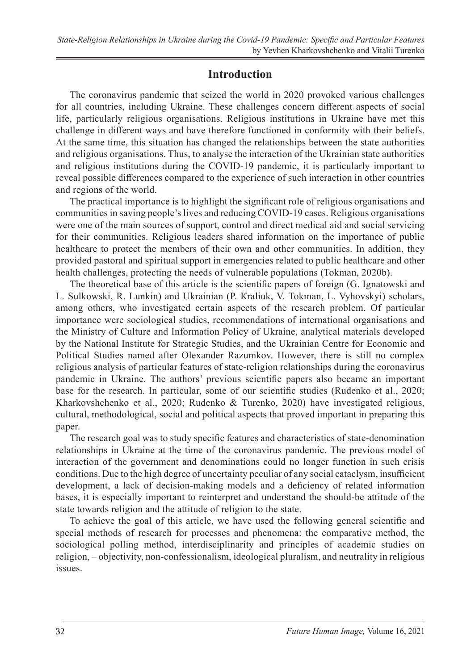### **Introduction**

The coronavirus pandemic that seized the world in 2020 provoked various challenges for all countries, including Ukraine. These challenges concern different aspects of social life, particularly religious organisations. Religious institutions in Ukraine have met this challenge in different ways and have therefore functioned in conformity with their beliefs. At the same time, this situation has changed the relationships between the state authorities and religious organisations. Thus, to analyse the interaction of the Ukrainian state authorities and religious institutions during the COVID-19 pandemic, it is particularly important to reveal possible differences compared to the experience of such interaction in other countries and regions of the world.

The practical importance is to highlight the significant role of religious organisations and communities in saving people's lives and reducing COVID-19 cases. Religious organisations were one of the main sources of support, control and direct medical aid and social servicing for their communities. Religious leaders shared information on the importance of public healthcare to protect the members of their own and other communities. In addition, they provided pastoral and spiritual support in emergencies related to public healthcare and other health challenges, protecting the needs of vulnerable populations (Tokman, 2020b).

The theoretical base of this article is the scientific papers of foreign (G. Ignatowski and L. Sulkowski, R. Lunkin) and Ukrainian (P. Кraliuk, V. Тоkman, L. Vyhovskyi) scholars, among others, who investigated certain aspects of the research problem. Of particular importance were sociological studies, recommendations of international organisations and the Ministry of Culture and Information Policy of Ukraine, analytical materials developed by the National Institute for Strategic Studies, and the Ukrainian Centre for Economic and Political Studies named after Olexander Razumkov. However, there is still no complex religious analysis of particular features of state-religion relationships during the coronavirus pandemic in Ukraine. The authors' previous scientific papers also became an important base for the research. In particular, some of our scientific studies (Rudenko et al., 2020; Kharkovshchenko et al., 2020; Rudenko & Turenko, 2020) have investigated religious, cultural, methodological, social and political aspects that proved important in preparing this paper.

The research goal was to study specific features and characteristics of state-denomination relationships in Ukraine at the time of the coronavirus pandemic. The previous model of interaction of the government and denominations could no longer function in such crisis conditions. Due to the high degree of uncertainty peculiar of any social cataclysm, insufficient development, a lack of decision-making models and a deficiency of related information bases, it is especially important to reinterpret and understand the should-be attitude of the state towards religion and the attitude of religion to the state.

To achieve the goal of this article, we have used the following general scientific and special methods of research for processes and phenomena: the comparative method, the sociological polling method, interdisciplinarity and principles of academic studies on religion, – objectivity, non-confessionalism, ideological pluralism, and neutrality in religious issues.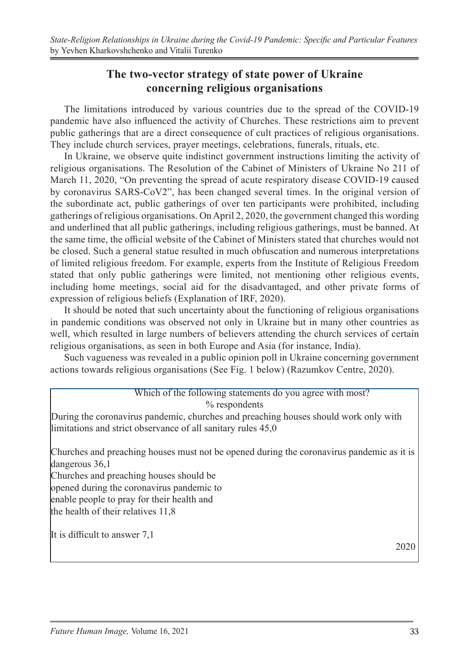### **The two-vector strategy of state power of Ukraine concerning religious organisations**

The limitations introduced by various countries due to the spread of the COVID-19 pandemic have also influenced the activity of Churches. These restrictions aim to prevent public gatherings that are a direct consequence of cult practices of religious organisations. They include church services, prayer meetings, celebrations, funerals, rituals, etc.

In Ukraine, we observe quite indistinct government instructions limiting the activity of religious organisations. The Resolution of the Cabinet of Ministers of Ukraine No 211 of March 11, 2020, "On preventing the spread of acute respiratory disease COVID-19 caused by coronavirus SARS-CoV2", has been changed several times. In the original version of the subordinate act, public gatherings of over ten participants were prohibited, including gatherings of religious organisations. On April 2, 2020, the government changed this wording and underlined that all public gatherings, including religious gatherings, must be banned. At the same time, the official website of the Cabinet of Ministers stated that churches would not be closed. Such a general statue resulted in much obfuscation and numerous interpretations of limited religious freedom. For example, experts from the Institute of Religious Freedom stated that only public gatherings were limited, not mentioning other religious events, including home meetings, social aid for the disadvantaged, and other private forms of expression of religious beliefs (Explanation of IRF, 2020).

It should be noted that such uncertainty about the functioning of religious organisations in pandemic conditions was observed not only in Ukraine but in many other countries as well, which resulted in large numbers of believers attending the church services of certain religious organisations, as seen in both Europe and Asia (for instance, India).

Such vagueness was revealed in a public opinion poll in Ukraine concerning government actions towards religious organisations (See Fig. 1 below) (Razumkov Centre, 2020).

#### Which of the following statements do you agree with most? % respondents

During the coronavirus pandemic, churches and preaching houses should work only with limitations and strict observance of all sanitary rules 45,0

Churches and preaching houses must not be opened during the coronavirus pandemic as it is dangerous 36,1

Churches and preaching houses should be

opened during the coronavirus pandemic to

enable people to pray for their health and

the health of their relatives 11,8

It is difficult to answer 7,1

2020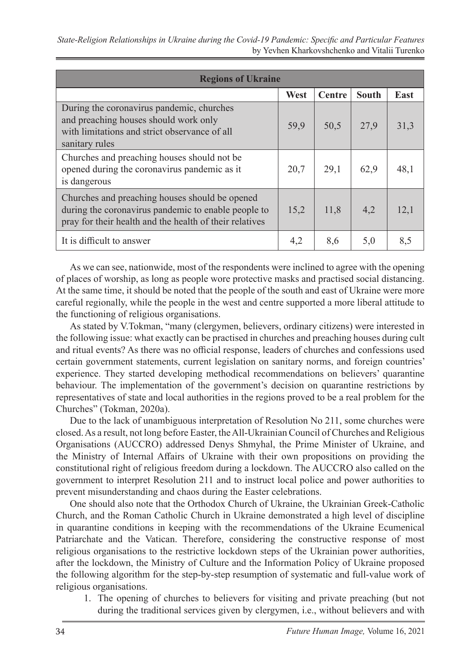| <b>Regions of Ukraine</b>                                                                                                                                        |      |               |              |      |  |  |  |  |
|------------------------------------------------------------------------------------------------------------------------------------------------------------------|------|---------------|--------------|------|--|--|--|--|
|                                                                                                                                                                  | West | <b>Centre</b> | <b>South</b> | East |  |  |  |  |
| During the coronavirus pandemic, churches<br>and preaching houses should work only<br>with limitations and strict observance of all<br>sanitary rules            | 59,9 | 50,5          | 27.9         | 31,3 |  |  |  |  |
| Churches and preaching houses should not be.<br>opened during the coronavirus pandemic as it<br>is dangerous                                                     | 20,7 | 29,1          | 62.9         | 48,1 |  |  |  |  |
| Churches and preaching houses should be opened<br>during the coronavirus pandemic to enable people to<br>pray for their health and the health of their relatives | 15,2 | 11,8          | 4.2          | 12,1 |  |  |  |  |
| It is difficult to answer                                                                                                                                        | 4,2  | 8,6           | 5,0          | 8,5  |  |  |  |  |

As we can see, nationwide, most of the respondents were inclined to agree with the opening of places of worship, as long as people wore protective masks and practised social distancing. At the same time, it should be noted that the people of the south and east of Ukraine were more careful regionally, while the people in the west and centre supported a more liberal attitude to the functioning of religious organisations.

As stated by V.Тоkman, "many (clergymen, believers, ordinary citizens) were interested in the following issue: what exactly can be practised in churches and preaching houses during cult and ritual events? As there was no official response, leaders of churches and confessions used certain government statements, current legislation on sanitary norms, and foreign countries' experience. They started developing methodical recommendations on believers' quarantine behaviour. The implementation of the government's decision on quarantine restrictions by representatives of state and local authorities in the regions proved to be a real problem for the Churches" (Tokman, 2020a).

Due to the lack of unambiguous interpretation of Resolution No 211, some churches were closed. As a result, not long before Easter, the All-Ukrainian Council of Churches and Religious Organisations (AUCCRO) addressed Denys Shmyhal, the Prime Minister of Ukraine, and the Ministry of Internal Affairs of Ukraine with their own propositions on providing the constitutional right of religious freedom during a lockdown. The AUCCRO also called on the government to interpret Resolution 211 and to instruct local police and power authorities to prevent misunderstanding and chaos during the Easter celebrations.

One should also note that the Orthodox Church of Ukraine, the Ukrainian Greek-Catholic Church, and the Roman Catholic Church in Ukraine demonstrated a high level of discipline in quarantine conditions in keeping with the recommendations of the Ukraine Ecumenical Patriarchate and the Vatican. Therefore, considering the constructive response of most religious organisations to the restrictive lockdown steps of the Ukrainian power authorities, after the lockdown, the Ministry of Culture and the Information Policy of Ukraine proposed the following algorithm for the step-by-step resumption of systematic and full-value work of religious organisations.

1. The opening of churches to believers for visiting and private preaching (but not during the traditional services given by clergymen, i.e., without believers and with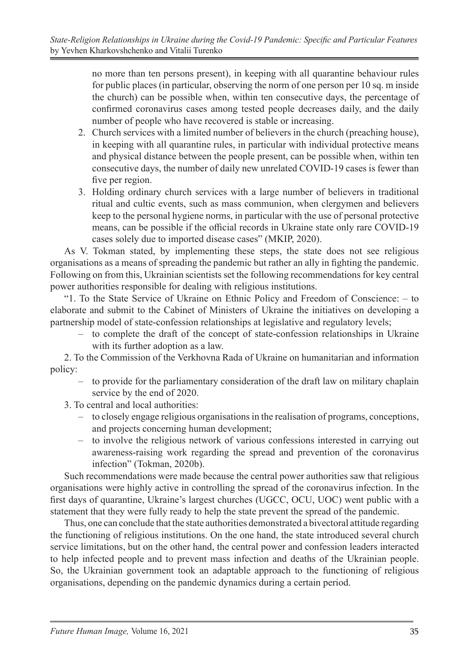no more than ten persons present), in keeping with all quarantine behaviour rules for public places (in particular, observing the norm of one person per 10 sq. m inside the church) can be possible when, within ten consecutive days, the percentage of confirmed coronavirus cases among tested people decreases daily, and the daily number of people who have recovered is stable or increasing.

- 2. Church services with a limited number of believers in the church (preaching house), in keeping with all quarantine rules, in particular with individual protective means and physical distance between the people present, can be possible when, within ten consecutive days, the number of daily new unrelated COVID-19 cases is fewer than five per region.
- 3. Holding ordinary church services with a large number of believers in traditional ritual and cultic events, such as mass communion, when clergymen and believers keep to the personal hygiene norms, in particular with the use of personal protective means, can be possible if the official records in Ukraine state only rare COVID-19 cases solely due to imported disease cases" (MKIP, 2020).

As V. Tokman stated, by implementing these steps, the state does not see religious organisations as a means of spreading the pandemic but rather an ally in fighting the pandemic. Following on from this, Ukrainian scientists set the following recommendations for key central power authorities responsible for dealing with religious institutions.

"1. To the State Service of Ukraine on Ethnic Policy and Freedom of Conscience: – to elaborate and submit to the Cabinet of Ministers of Ukraine the initiatives on developing a partnership model of state-confession relationships at legislative and regulatory levels;

– to complete the draft of the concept of state-confession relationships in Ukraine with its further adoption as a law.

2. To the Commission of the Verkhovna Rada of Ukraine on humanitarian and information policy:

- to provide for the parliamentary consideration of the draft law on military chaplain service by the end of 2020.
- 3. To central and local authorities:
	- to closely engage religious organisations in the realisation of programs, conceptions, and projects concerning human development;
	- to involve the religious network of various confessions interested in carrying out awareness-raising work regarding the spread and prevention of the coronavirus infection" (Tokman, 2020b).

Such recommendations were made because the central power authorities saw that religious organisations were highly active in controlling the spread of the coronavirus infection. In the first days of quarantine, Ukraine's largest churches (UGCC, OCU, UOC) went public with a statement that they were fully ready to help the state prevent the spread of the pandemic.

Thus, one can conclude that the state authorities demonstrated a bivectoral attitude regarding the functioning of religious institutions. On the one hand, the state introduced several church service limitations, but on the other hand, the central power and confession leaders interacted to help infected people and to prevent mass infection and deaths of the Ukrainian people. So, the Ukrainian government took an adaptable approach to the functioning of religious organisations, depending on the pandemic dynamics during a certain period.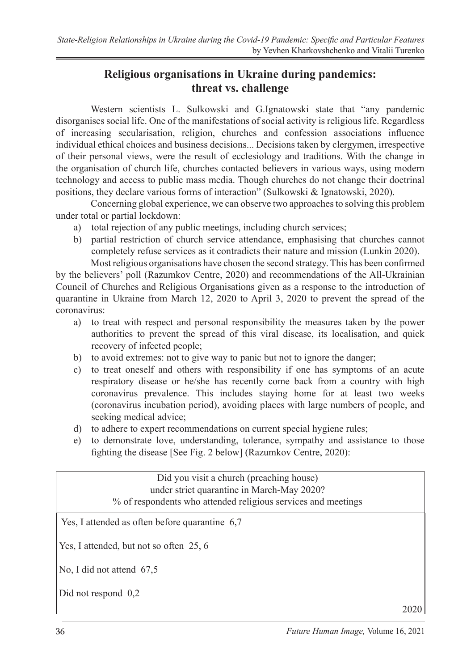## **Religious organisations in Ukraine during pandemics: threat vs. challenge**

Western scientists L. Sulkowski and G.Ignatowski state that "any pandemic disorganises social life. One of the manifestations of social activity is religious life. Regardless of increasing secularisation, religion, churches and confession associations influence individual ethical choices and business decisions... Decisions taken by clergymen, irrespective of their personal views, were the result of ecclesiology and traditions. With the change in the organisation of church life, churches contacted believers in various ways, using modern technology and access to public mass media. Though churches do not change their doctrinal positions, they declare various forms of interaction" (Sulkowski & Ignatowski, 2020).

Concerning global experience, we can observe two approaches to solving this problem under total or partial lockdown:

- a) total rejection of any public meetings, including church services;
- b) partial restriction of church service attendance, emphasising that churches cannot completely refuse services as it contradicts their nature and mission (Lunkin 2020).

Most religious organisations have chosen the second strategy. This has been confirmed by the believers' poll (Razumkov Centre, 2020) and recommendations of the All-Ukrainian Council of Churches and Religious Organisations given as a response to the introduction of quarantine in Ukraine from March 12, 2020 to April 3, 2020 to prevent the spread of the coronavirus:

- a) to treat with respect and personal responsibility the measures taken by the power authorities to prevent the spread of this viral disease, its localisation, and quick recovery of infected people;
- b) to avoid extremes: not to give way to panic but not to ignore the danger;
- c) to treat oneself and others with responsibility if one has symptoms of an acute respiratory disease or he/she has recently come back from a country with high coronavirus prevalence. This includes staying home for at least two weeks (coronavirus incubation period), avoiding places with large numbers of people, and seeking medical advice;
- d) to adhere to expert recommendations on current special hygiene rules;
- e) to demonstrate love, understanding, tolerance, sympathy and assistance to those fighting the disease [See Fig. 2 below] (Razumkov Centre, 2020):

| Did you visit a church (preaching house)<br>under strict quarantine in March-May 2020?<br>% of respondents who attended religious services and meetings |  |  |  |  |
|---------------------------------------------------------------------------------------------------------------------------------------------------------|--|--|--|--|
| Yes, I attended as often before quarantine 6,7                                                                                                          |  |  |  |  |
| Yes, I attended, but not so often 25, 6                                                                                                                 |  |  |  |  |
| No, I did not attend $67.5$                                                                                                                             |  |  |  |  |
| Did not respond $0,2$                                                                                                                                   |  |  |  |  |

2020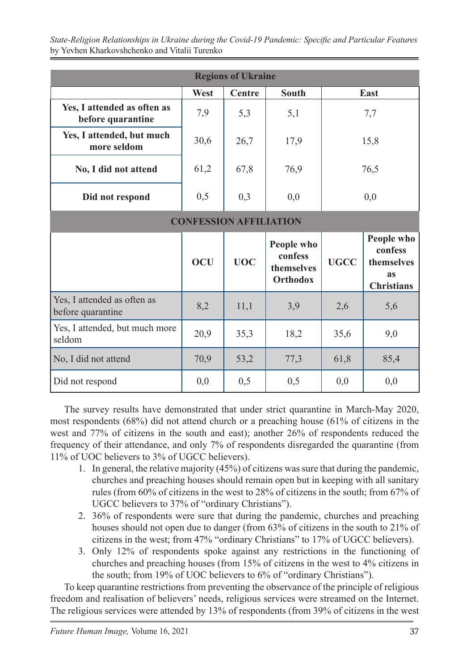*State-Religion Relationships in Ukraine during the Covid-19 Pandemic: Specific and Particular Features* by Yevhen Kharkovshchenko and Vitalii Turenko

| <b>Regions of Ukraine</b>                        |            |            |                                                 |              |                                                                       |  |  |  |  |
|--------------------------------------------------|------------|------------|-------------------------------------------------|--------------|-----------------------------------------------------------------------|--|--|--|--|
|                                                  | West       | Centre     | <b>South</b>                                    | East         |                                                                       |  |  |  |  |
| Yes, I attended as often as<br>before quarantine | 7,9        | 5,3        | 5,1                                             | 7,7          |                                                                       |  |  |  |  |
| Yes, I attended, but much<br>more seldom         | 30,6       | 26,7       | 17,9                                            | 15,8         |                                                                       |  |  |  |  |
| No, I did not attend                             | 61,2       | 67,8       | 76,9                                            | 76,5         |                                                                       |  |  |  |  |
| Did not respond                                  | 0,5        | 0,3        | 0,0                                             | 0,0          |                                                                       |  |  |  |  |
| <b>CONFESSION AFFILIATION</b>                    |            |            |                                                 |              |                                                                       |  |  |  |  |
|                                                  | <b>OCU</b> | <b>UOC</b> | People who<br>confess<br>themselves<br>Orthodox | <b>UGCC</b>  | People who<br>confess<br>themselves<br><b>as</b><br><b>Christians</b> |  |  |  |  |
| Yes, I attended as often as<br>before quarantine | 8,2        | 11,1       | 3,9                                             | 2,6          | 5,6                                                                   |  |  |  |  |
| Yes, I attended, but much more<br>seldom         | 20,9       | 35,3       | 18,2                                            | 35,6<br>9,0  |                                                                       |  |  |  |  |
| No, I did not attend                             | 70,9       | 53,2       | 77,3                                            | 61,8<br>85,4 |                                                                       |  |  |  |  |
| Did not respond                                  | 0,0        | 0,5        | 0,5                                             | 0,0          | 0,0                                                                   |  |  |  |  |

The survey results have demonstrated that under strict quarantine in March-May 2020, most respondents (68%) did not attend church or a preaching house (61% of citizens in the west and 77% of citizens in the south and east); another 26% of respondents reduced the frequency of their attendance, and only 7% of respondents disregarded the quarantine (from 11% of UOC believers to 3% of UGCC believers).

- 1. In general, the relative majority (45%) of citizens was sure that during the pandemic, churches and preaching houses should remain open but in keeping with all sanitary rules (from 60% of citizens in the west to 28% of citizens in the south; from 67% of UGCC believers to 37% of "ordinary Christians").
- 2. 36% of respondents were sure that during the pandemic, churches and preaching houses should not open due to danger (from 63% of citizens in the south to 21% of citizens in the west; from 47% "ordinary Christians" to 17% of UGCC believers).
- 3. Only 12% of respondents spoke against any restrictions in the functioning of churches and preaching houses (from 15% of citizens in the west to 4% citizens in the south; from 19% of UOC believers to 6% of "ordinary Christians").

To keep quarantine restrictions from preventing the observance of the principle of religious freedom and realisation of believers' needs, religious services were streamed on the Internet. The religious services were attended by 13% of respondents (from 39% of citizens in the west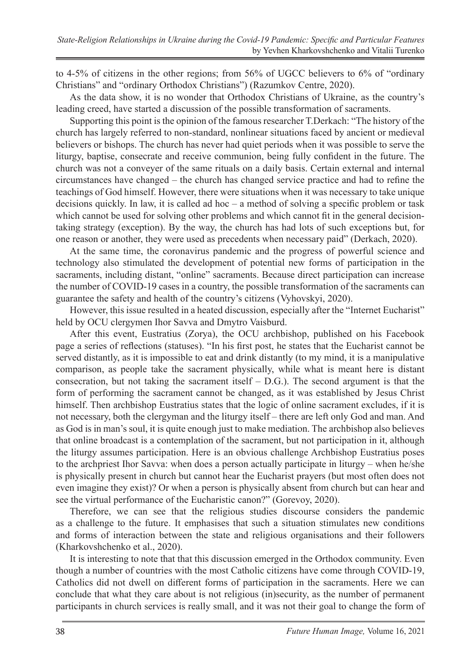to 4-5% of citizens in the other regions; from 56% of UGCC believers to 6% of "ordinary Christians" and "ordinary Orthodox Christians") (Razumkov Centre, 2020).

As the data show, it is no wonder that Orthodox Christians of Ukraine, as the country's leading creed, have started a discussion of the possible transformation of sacraments.

Supporting this point is the opinion of the famous researcher T.Derkach: "The history of the church has largely referred to non-standard, nonlinear situations faced by ancient or medieval believers or bishops. The church has never had quiet periods when it was possible to serve the liturgy, baptise, consecrate and receive communion, being fully confident in the future. The church was not a conveyer of the same rituals on a daily basis. Certain external and internal circumstances have changed – the church has changed service practice and had to refine the teachings of God himself. However, there were situations when it was necessary to take unique decisions quickly. In law, it is called ad hoc  $-$  a method of solving a specific problem or task which cannot be used for solving other problems and which cannot fit in the general decisiontaking strategy (exception). By the way, the church has had lots of such exceptions but, for one reason or another, they were used as precedents when necessary paid" (Derkach, 2020).

At the same time, the coronavirus pandemic and the progress of powerful science and technology also stimulated the development of potential new forms of participation in the sacraments, including distant, "online" sacraments. Because direct participation can increase the number of COVID-19 cases in a country, the possible transformation of the sacraments can guarantee the safety and health of the country's citizens (Vyhovskyi, 2020).

However, this issue resulted in a heated discussion, especially after the "Internet Eucharist" held by OCU clergymen Ihor Savva and Dmytro Vaisburd.

After this event, Eustratius (Zorya), the OCU archbishop, published on his Facebook page a series of reflections (statuses). "In his first post, he states that the Eucharist cannot be served distantly, as it is impossible to eat and drink distantly (to my mind, it is a manipulative comparison, as people take the sacrament physically, while what is meant here is distant consecration, but not taking the sacrament itself – D.G.). The second argument is that the form of performing the sacrament cannot be changed, as it was established by Jesus Christ himself. Then archbishop Eustratius states that the logic of online sacrament excludes, if it is not necessary, both the clergyman and the liturgy itself – there are left only God and man. And as God is in man's soul, it is quite enough just to make mediation. The archbishop also believes that online broadcast is a contemplation of the sacrament, but not participation in it, although the liturgy assumes participation. Here is an obvious challenge Archbishop Eustratius poses to the archpriest Ihor Savva: when does a person actually participate in liturgy – when he/she is physically present in church but cannot hear the Eucharist prayers (but most often does not even imagine they exist)? Or when a person is physically absent from church but can hear and see the virtual performance of the Eucharistic canon?" (Gorevoy, 2020).

Therefore, we can see that the religious studies discourse considers the pandemic as a challenge to the future. It emphasises that such a situation stimulates new conditions and forms of interaction between the state and religious organisations and their followers (Kharkovshchenko et al., 2020).

It is interesting to note that that this discussion emerged in the Orthodox community. Even though a number of countries with the most Catholic citizens have come through COVID-19, Catholics did not dwell on different forms of participation in the sacraments. Here we can conclude that what they care about is not religious (in)security, as the number of permanent participants in church services is really small, and it was not their goal to change the form of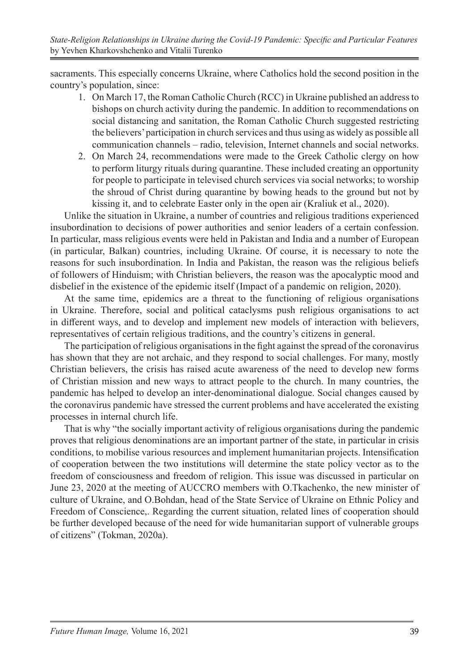sacraments. This especially concerns Ukraine, where Catholics hold the second position in the country's population, since:

- 1. On March 17, the Roman Catholic Church (RCC) in Ukraine published an address to bishops on church activity during the pandemic. In addition to recommendations on social distancing and sanitation, the Roman Catholic Church suggested restricting the believers' participation in church services and thus using as widely as possible all communication channels – radio, television, Internet channels and social networks.
- 2. On March 24, recommendations were made to the Greek Catholic clergy on how to perform liturgy rituals during quarantine. These included creating an opportunity for people to participate in televised church services via social networks; to worship the shroud of Christ during quarantine by bowing heads to the ground but not by kissing it, and to celebrate Easter only in the open air (Kraliuk et al., 2020).

Unlike the situation in Ukraine, a number of countries and religious traditions experienced insubordination to decisions of power authorities and senior leaders of a certain confession. In particular, mass religious events were held in Pakistan and India and a number of European (in particular, Balkan) countries, including Ukraine. Of course, it is necessary to note the reasons for such insubordination. In India and Pakistan, the reason was the religious beliefs of followers of Hinduism; with Christian believers, the reason was the apocalyptic mood and disbelief in the existence of the epidemic itself (Impact of a pandemic on religion, 2020).

At the same time, epidemics are a threat to the functioning of religious organisations in Ukraine. Therefore, social and political cataclysms push religious organisations to act in different ways, and to develop and implement new models of interaction with believers, representatives of certain religious traditions, and the country's citizens in general.

The participation of religious organisations in the fight against the spread of the coronavirus has shown that they are not archaic, and they respond to social challenges. For many, mostly Christian believers, the crisis has raised acute awareness of the need to develop new forms of Christian mission and new ways to attract people to the church. In many countries, the pandemic has helped to develop an inter-denominational dialogue. Social changes caused by the coronavirus pandemic have stressed the current problems and have accelerated the existing processes in internal church life.

That is why "the socially important activity of religious organisations during the pandemic proves that religious denominations are an important partner of the state, in particular in crisis conditions, to mobilise various resources and implement humanitarian projects. Intensification of cooperation between the two institutions will determine the state policy vector as to the freedom of consciousness and freedom of religion. This issue was discussed in particular on June 23, 2020 at the meeting of AUCCRO members with O.Tkachenko, the new minister of culture of Ukraine, and O.Bohdan, head of the State Service of Ukraine on Ethnic Policy and Freedom of Conscience,. Regarding the current situation, related lines of cooperation should be further developed because of the need for wide humanitarian support of vulnerable groups of citizens" (Tokman, 2020a).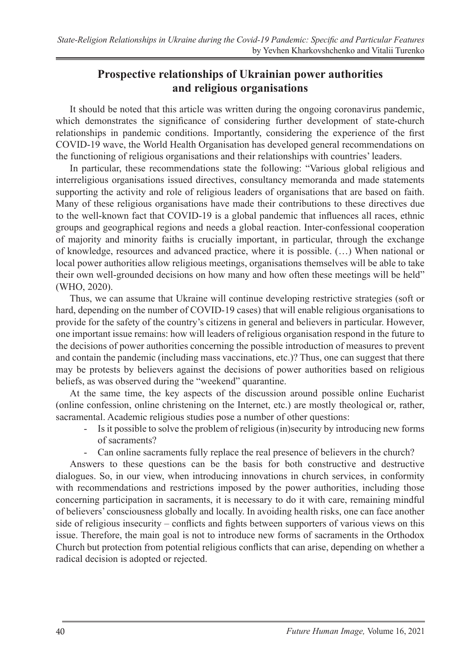### **Prospective relationships of Ukrainian power authorities and religious organisations**

It should be noted that this article was written during the ongoing coronavirus pandemic, which demonstrates the significance of considering further development of state-church relationships in pandemic conditions. Importantly, considering the experience of the first COVID-19 wave, the World Health Organisation has developed general recommendations on the functioning of religious organisations and their relationships with countries' leaders.

In particular, these recommendations state the following: "Various global religious and interreligious organisations issued directives, consultancy memoranda and made statements supporting the activity and role of religious leaders of organisations that are based on faith. Many of these religious organisations have made their contributions to these directives due to the well-known fact that COVID-19 is a global pandemic that influences all races, ethnic groups and geographical regions and needs a global reaction. Inter-confessional cooperation of majority and minority faiths is crucially important, in particular, through the exchange of knowledge, resources and advanced practice, where it is possible. (…) When national or local power authorities allow religious meetings, organisations themselves will be able to take their own well-grounded decisions on how many and how often these meetings will be held" (WHO, 2020).

Thus, we can assume that Ukraine will continue developing restrictive strategies (soft or hard, depending on the number of COVID-19 cases) that will enable religious organisations to provide for the safety of the country's citizens in general and believers in particular. However, one important issue remains: how will leaders of religious organisation respond in the future to the decisions of power authorities concerning the possible introduction of measures to prevent and contain the pandemic (including mass vaccinations, etc.)? Thus, one can suggest that there may be protests by believers against the decisions of power authorities based on religious beliefs, as was observed during the "weekend" quarantine.

At the same time, the key aspects of the discussion around possible online Eucharist (online confession, online christening on the Internet, etc.) are mostly theological or, rather, sacramental. Academic religious studies pose a number of other questions:

- Is it possible to solve the problem of religious (in)security by introducing new forms of sacraments?
- Can online sacraments fully replace the real presence of believers in the church?

Answers to these questions can be the basis for both constructive and destructive dialogues. So, in our view, when introducing innovations in church services, in conformity with recommendations and restrictions imposed by the power authorities, including those concerning participation in sacraments, it is necessary to do it with care, remaining mindful of believers' consciousness globally and locally. In avoiding health risks, one can face another side of religious insecurity – conflicts and fights between supporters of various views on this issue. Therefore, the main goal is not to introduce new forms of sacraments in the Orthodox Church but protection from potential religious conflicts that can arise, depending on whether a radical decision is adopted or rejected.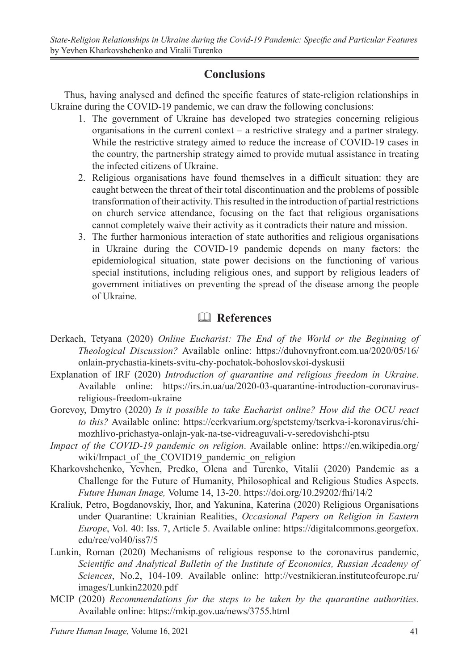### **Conclusions**

Thus, having analysed and defined the specific features of state-religion relationships in Ukraine during the COVID-19 pandemic, we can draw the following conclusions:

- 1. The government of Ukraine has developed two strategies concerning religious organisations in the current context – a restrictive strategy and a partner strategy. While the restrictive strategy aimed to reduce the increase of COVID-19 cases in the country, the partnership strategy aimed to provide mutual assistance in treating the infected citizens of Ukraine.
- 2. Religious organisations have found themselves in a difficult situation: they are caught between the threat of their total discontinuation and the problems of possible transformation of their activity. This resulted in the introduction of partial restrictions on church service attendance, focusing on the fact that religious organisations cannot completely waive their activity as it contradicts their nature and mission.
- 3. The further harmonious interaction of state authorities and religious organisations in Ukraine during the COVID-19 pandemic depends on many factors: the epidemiological situation, state power decisions on the functioning of various special institutions, including religious ones, and support by religious leaders of government initiatives on preventing the spread of the disease among the people of Ukraine.

# & **References**

- Derkach, Tetyana (2020) *Online Eucharist: The End of the World or the Beginning of Theological Discussion?* Available online: https://duhovnyfront.com.ua/2020/05/16/ onlain-prychastia-kinets-svitu-chy-pochatok-bohoslovskoi-dyskusii
- Explanation of IRF (2020) *Introduction of quarantine and religious freedom in Ukraine*. Available online: https://irs.in.ua/ua/2020-03-quarantine-introduction-coronavirusreligious-freedom-ukraine
- Gorevoy, Dmytro (2020) *Is it possible to take Eucharist online? How did the OCU react to this?* Available online: https://cerkvarium.org/spetstemy/tserkva-i-koronavirus/chimozhlivo-prichastya-onlajn-yak-na-tse-vidreaguvali-v-seredovishchi-ptsu
- *Impact of the COVID-19 pandemic on religion*. Available online: https://en.wikipedia.org/ wiki/Impact of the COVID19 pandemic on religion
- Kharkovshchenko, Yevhen, Predko, Olena and Turenko, Vitalii (2020) Pandemic as a Challenge for the Future of Humanity, Philosophical and Religious Studies Aspects. *Future Human Image,* Volume 14, 13-20. https://doi.org/10.29202/fhi/14/2
- Kraliuk, Petro, Bogdanovskiy, Ihor, and Yakunina, Katerina (2020) Religious Organisations under Quarantine: Ukrainian Realities, *Occasional Papers on Religion in Eastern Europe*, Vol. 40: Iss. 7, Article 5. Available online: https://digitalcommons.georgefox. edu/ree/vol40/iss7/5
- Lunkin, Rοman (2020) Mechanisms of religious response to the coronavirus pandemic, *Scientific and Analytical Bulletin of the Institute of Economics, Russian Academy of Sciences*, No.2, 104-109. Available online: http://vestnikieran.instituteofeurope.ru/ images/Lunkin22020.pdf
- MCIP (2020) *Recommendations for the steps to be taken by the quarantine authorities.* Available online: https://mkip.gov.ua/news/3755.html